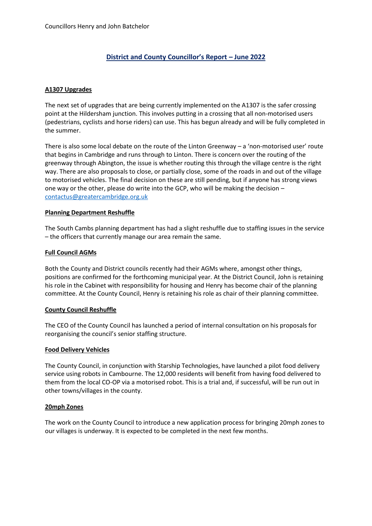# **District and County Councillor's Report – June 2022**

## **A1307 Upgrades**

The next set of upgrades that are being currently implemented on the A1307 is the safer crossing point at the Hildersham junction. This involves putting in a crossing that all non-motorised users (pedestrians, cyclists and horse riders) can use. This has begun already and will be fully completed in the summer.

There is also some local debate on the route of the Linton Greenway – a 'non-motorised user' route that begins in Cambridge and runs through to Linton. There is concern over the routing of the greenway through Abington, the issue is whether routing this through the village centre is the right way. There are also proposals to close, or partially close, some of the roads in and out of the village to motorised vehicles. The final decision on these are still pending, but if anyone has strong views one way or the other, please do write into the GCP, who will be making the decision – [contactus@greatercambridge.org.uk](mailto:contactus@greatercambridge.org.uk)

#### **Planning Department Reshuffle**

The South Cambs planning department has had a slight reshuffle due to staffing issues in the service – the officers that currently manage our area remain the same.

#### **Full Council AGMs**

Both the County and District councils recently had their AGMs where, amongst other things, positions are confirmed for the forthcoming municipal year. At the District Council, John is retaining his role in the Cabinet with responsibility for housing and Henry has become chair of the planning committee. At the County Council, Henry is retaining his role as chair of their planning committee.

#### **County Council Reshuffle**

The CEO of the County Council has launched a period of internal consultation on his proposals for reorganising the council's senior staffing structure.

#### **Food Delivery Vehicles**

The County Council, in conjunction with Starship Technologies, have launched a pilot food delivery service using robots in Cambourne. The 12,000 residents will benefit from having food delivered to them from the local CO-OP via a motorised robot. This is a trial and, if successful, will be run out in other towns/villages in the county.

#### **20mph Zones**

The work on the County Council to introduce a new application process for bringing 20mph zones to our villages is underway. It is expected to be completed in the next few months.